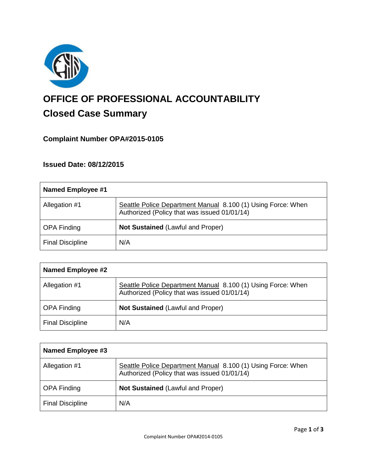

# **OFFICE OF PROFESSIONAL ACCOUNTABILITY Closed Case Summary**

# **Complaint Number OPA#2015-0105**

# **Issued Date: 08/12/2015**

| <b>Named Employee #1</b> |                                                                                                              |
|--------------------------|--------------------------------------------------------------------------------------------------------------|
| Allegation #1            | Seattle Police Department Manual 8.100 (1) Using Force: When<br>Authorized (Policy that was issued 01/01/14) |
| <b>OPA Finding</b>       | <b>Not Sustained (Lawful and Proper)</b>                                                                     |
| <b>Final Discipline</b>  | N/A                                                                                                          |

| <b>Named Employee #2</b> |                                                                                                              |
|--------------------------|--------------------------------------------------------------------------------------------------------------|
| Allegation #1            | Seattle Police Department Manual 8.100 (1) Using Force: When<br>Authorized (Policy that was issued 01/01/14) |
| <b>OPA Finding</b>       | <b>Not Sustained (Lawful and Proper)</b>                                                                     |
| <b>Final Discipline</b>  | N/A                                                                                                          |

| Named Employee #3       |                                                                                                              |
|-------------------------|--------------------------------------------------------------------------------------------------------------|
| Allegation #1           | Seattle Police Department Manual 8.100 (1) Using Force: When<br>Authorized (Policy that was issued 01/01/14) |
| <b>OPA Finding</b>      | <b>Not Sustained (Lawful and Proper)</b>                                                                     |
| <b>Final Discipline</b> | N/A                                                                                                          |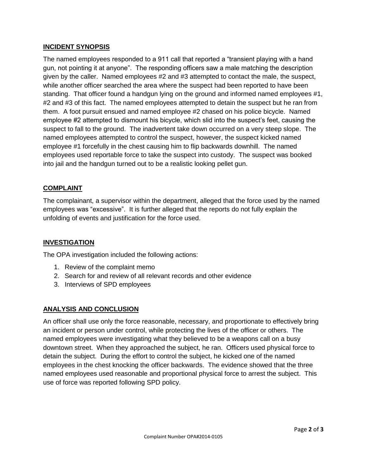## **INCIDENT SYNOPSIS**

The named employees responded to a 911 call that reported a "transient playing with a hand gun, not pointing it at anyone". The responding officers saw a male matching the description given by the caller. Named employees #2 and #3 attempted to contact the male, the suspect, while another officer searched the area where the suspect had been reported to have been standing. That officer found a handgun lying on the ground and informed named employees #1, #2 and #3 of this fact. The named employees attempted to detain the suspect but he ran from them. A foot pursuit ensued and named employee #2 chased on his police bicycle. Named employee #2 attempted to dismount his bicycle, which slid into the suspect's feet, causing the suspect to fall to the ground. The inadvertent take down occurred on a very steep slope. The named employees attempted to control the suspect, however, the suspect kicked named employee #1 forcefully in the chest causing him to flip backwards downhill. The named employees used reportable force to take the suspect into custody. The suspect was booked into jail and the handgun turned out to be a realistic looking pellet gun.

## **COMPLAINT**

The complainant, a supervisor within the department, alleged that the force used by the named employees was "excessive". It is further alleged that the reports do not fully explain the unfolding of events and justification for the force used.

#### **INVESTIGATION**

The OPA investigation included the following actions:

- 1. Review of the complaint memo
- 2. Search for and review of all relevant records and other evidence
- 3. Interviews of SPD employees

#### **ANALYSIS AND CONCLUSION**

An officer shall use only the force reasonable, necessary, and proportionate to effectively bring an incident or person under control, while protecting the lives of the officer or others. The named employees were investigating what they believed to be a weapons call on a busy downtown street. When they approached the subject, he ran. Officers used physical force to detain the subject. During the effort to control the subject, he kicked one of the named employees in the chest knocking the officer backwards. The evidence showed that the three named employees used reasonable and proportional physical force to arrest the subject. This use of force was reported following SPD policy.